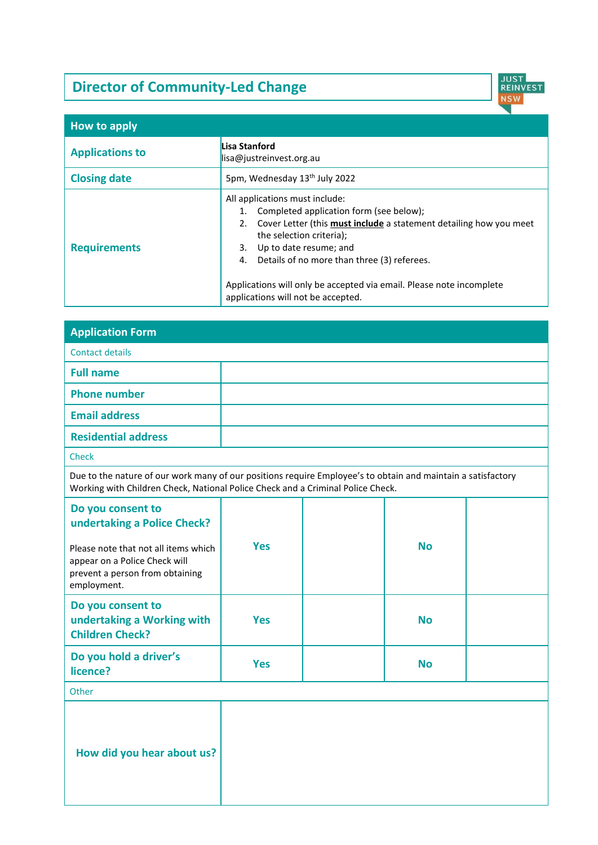# **Director of Community-Led Change**



| How to apply           |                                                                                                                                                                                                                                                                                                                                                                                         |
|------------------------|-----------------------------------------------------------------------------------------------------------------------------------------------------------------------------------------------------------------------------------------------------------------------------------------------------------------------------------------------------------------------------------------|
| <b>Applications to</b> | Lisa Stanford<br>$\parallel$ isa@justreinvest.org.au                                                                                                                                                                                                                                                                                                                                    |
| <b>Closing date</b>    | 5pm, Wednesday 13th July 2022                                                                                                                                                                                                                                                                                                                                                           |
| <b>Requirements</b>    | All applications must include:<br>1. Completed application form (see below);<br>Cover Letter (this must include a statement detailing how you meet<br>2.<br>the selection criteria);<br>Up to date resume; and<br>3.<br>Details of no more than three (3) referees.<br>4.<br>Applications will only be accepted via email. Please note incomplete<br>applications will not be accepted. |

| <b>Application Form</b>                                                                                                                                                                         |            |  |           |  |
|-------------------------------------------------------------------------------------------------------------------------------------------------------------------------------------------------|------------|--|-----------|--|
| <b>Contact details</b>                                                                                                                                                                          |            |  |           |  |
| <b>Full name</b>                                                                                                                                                                                |            |  |           |  |
| <b>Phone number</b>                                                                                                                                                                             |            |  |           |  |
| <b>Email address</b>                                                                                                                                                                            |            |  |           |  |
| <b>Residential address</b>                                                                                                                                                                      |            |  |           |  |
| Check                                                                                                                                                                                           |            |  |           |  |
| Due to the nature of our work many of our positions require Employee's to obtain and maintain a satisfactory<br>Working with Children Check, National Police Check and a Criminal Police Check. |            |  |           |  |
| Do you consent to<br>undertaking a Police Check?<br>Please note that not all items which                                                                                                        | <b>Yes</b> |  | <b>No</b> |  |
| appear on a Police Check will<br>prevent a person from obtaining<br>employment.                                                                                                                 |            |  |           |  |
| Do you consent to<br>undertaking a Working with<br><b>Children Check?</b>                                                                                                                       | <b>Yes</b> |  | <b>No</b> |  |
| Do you hold a driver's<br>licence?                                                                                                                                                              | <b>Yes</b> |  | <b>No</b> |  |
| Other                                                                                                                                                                                           |            |  |           |  |
| How did you hear about us?                                                                                                                                                                      |            |  |           |  |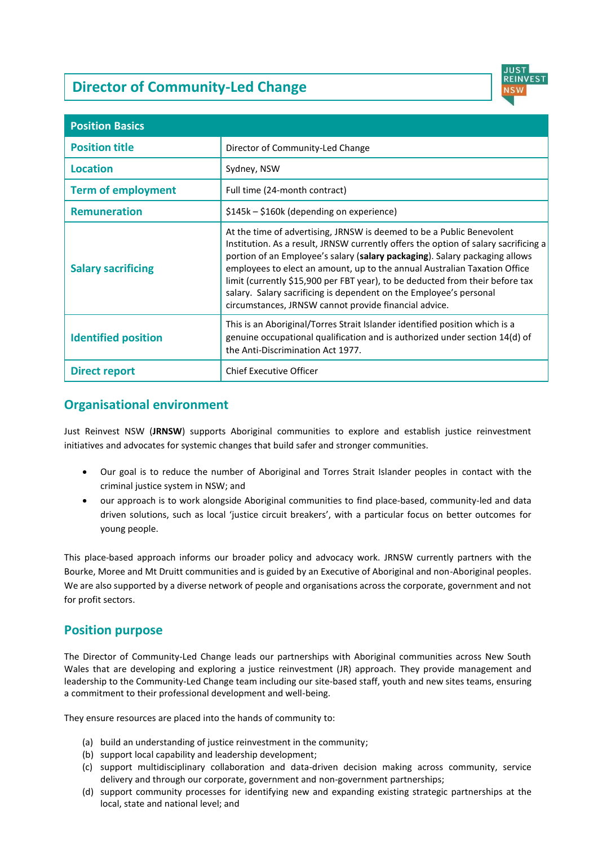## **Director of Community-Led Change**



| <b>Position Basics</b>     |                                                                                                                                                                                                                                                                                                                                                                                                                                                                                                                                          |
|----------------------------|------------------------------------------------------------------------------------------------------------------------------------------------------------------------------------------------------------------------------------------------------------------------------------------------------------------------------------------------------------------------------------------------------------------------------------------------------------------------------------------------------------------------------------------|
| <b>Position title</b>      | Director of Community-Led Change                                                                                                                                                                                                                                                                                                                                                                                                                                                                                                         |
| <b>Location</b>            | Sydney, NSW                                                                                                                                                                                                                                                                                                                                                                                                                                                                                                                              |
| <b>Term of employment</b>  | Full time (24-month contract)                                                                                                                                                                                                                                                                                                                                                                                                                                                                                                            |
| <b>Remuneration</b>        | \$145k - \$160k (depending on experience)                                                                                                                                                                                                                                                                                                                                                                                                                                                                                                |
| <b>Salary sacrificing</b>  | At the time of advertising, JRNSW is deemed to be a Public Benevolent<br>Institution. As a result, JRNSW currently offers the option of salary sacrificing a<br>portion of an Employee's salary (salary packaging). Salary packaging allows<br>employees to elect an amount, up to the annual Australian Taxation Office<br>limit (currently \$15,900 per FBT year), to be deducted from their before tax<br>salary. Salary sacrificing is dependent on the Employee's personal<br>circumstances, JRNSW cannot provide financial advice. |
| <b>Identified position</b> | This is an Aboriginal/Torres Strait Islander identified position which is a<br>genuine occupational qualification and is authorized under section 14(d) of<br>the Anti-Discrimination Act 1977.                                                                                                                                                                                                                                                                                                                                          |
| <b>Direct report</b>       | <b>Chief Executive Officer</b>                                                                                                                                                                                                                                                                                                                                                                                                                                                                                                           |

## **Organisational environment**

Just Reinvest NSW (**JRNSW**) supports Aboriginal communities to explore and establish justice reinvestment initiatives and advocates for systemic changes that build safer and stronger communities.

- Our goal is to reduce the number of Aboriginal and Torres Strait Islander peoples in contact with the criminal justice system in NSW; and
- our approach is to work alongside Aboriginal communities to find place-based, community-led and data driven solutions, such as local 'justice circuit breakers', with a particular focus on better outcomes for young people.

This place-based approach informs our broader policy and advocacy work. JRNSW currently partners with the Bourke, Moree and Mt Druitt communities and is guided by an Executive of Aboriginal and non-Aboriginal peoples. We are also supported by a diverse network of people and organisations across the corporate, government and not for profit sectors.

## **Position purpose**

The Director of Community-Led Change leads our partnerships with Aboriginal communities across New South Wales that are developing and exploring a justice reinvestment (JR) approach. They provide management and leadership to the Community-Led Change team including our site-based staff, youth and new sites teams, ensuring a commitment to their professional development and well-being.

They ensure resources are placed into the hands of community to:

- (a) build an understanding of justice reinvestment in the community;
- (b) support local capability and leadership development;
- (c) support multidisciplinary collaboration and data-driven decision making across community, service delivery and through our corporate, government and non-government partnerships;
- (d) support community processes for identifying new and expanding existing strategic partnerships at the local, state and national level; and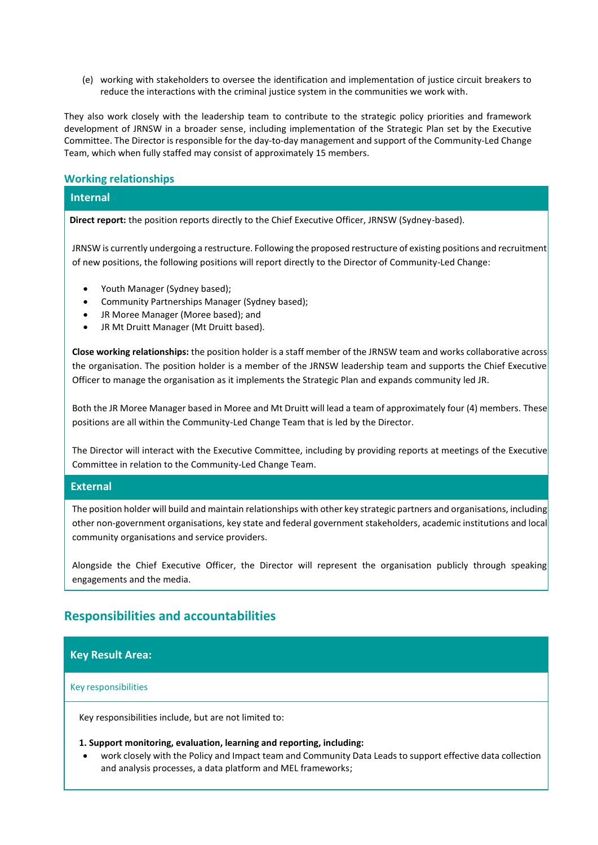(e) working with stakeholders to oversee the identification and implementation of justice circuit breakers to reduce the interactions with the criminal justice system in the communities we work with.

They also work closely with the leadership team to contribute to the strategic policy priorities and framework development of JRNSW in a broader sense, including implementation of the Strategic Plan set by the Executive Committee. The Director is responsible for the day-to-day management and support of the Community-Led Change Team, which when fully staffed may consist of approximately 15 members.

#### **Working relationships**

#### **Internal**

 **Direct report:** the position reports directly to the Chief Executive Officer, JRNSW (Sydney-based).

JRNSW is currently undergoing a restructure. Following the proposed restructure of existing positions and recruitment of new positions, the following positions will report directly to the Director of Community-Led Change:

- Youth Manager (Sydney based);
- Community Partnerships Manager (Sydney based);
- JR Moree Manager (Moree based); and
- JR Mt Druitt Manager (Mt Druitt based).

**Close working relationships:** the position holder is a staff member of the JRNSW team and works collaborative across the organisation. The position holder is a member of the JRNSW leadership team and supports the Chief Executive Officer to manage the organisation as it implements the Strategic Plan and expands community led JR.

Both the JR Moree Manager based in Moree and Mt Druitt will lead a team of approximately four (4) members. These positions are all within the Community-Led Change Team that is led by the Director.

The Director will interact with the Executive Committee, including by providing reports at meetings of the Executive Committee in relation to the Community-Led Change Team.

#### **External**

The position holder will build and maintain relationships with other key strategic partners and organisations, including other non-government organisations, key state and federal government stakeholders, academic institutions and local community organisations and service providers.

Alongside the Chief Executive Officer, the Director will represent the organisation publicly through speaking engagements and the media.

## **Responsibilities and accountabilities**

#### **Key Result Area:**

#### Key responsibilities

•

Key responsibilities include, but are not limited to:

#### • **1. Support monitoring, evaluation, learning and reporting, including:**

• work closely with the Policy and Impact team and Community Data Leads to support effective data collection and analysis processes, a data platform and MEL frameworks;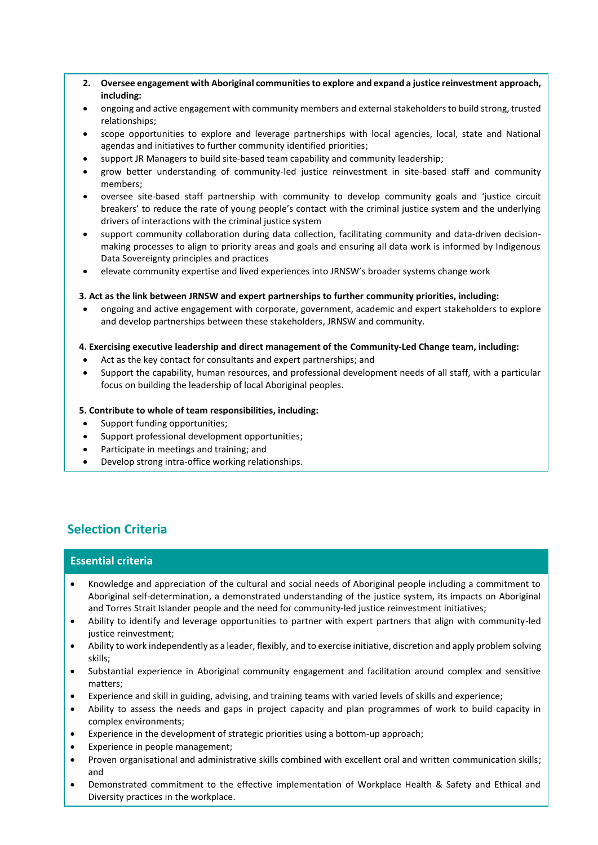- **2. Oversee engagement with Aboriginal communities to explore and expand a justice reinvestment approach, including:**
- ongoing and active engagement with community members and external stakeholders to build strong, trusted relationships;
- scope opportunities to explore and leverage partnerships with local agencies, local, state and National agendas and initiatives to further community identified priorities;
- support JR Managers to build site-based team capability and community leadership;
- grow better understanding of community-led justice reinvestment in site-based staff and community members;
- oversee site-based staff partnership with community to develop community goals and 'justice circuit breakers' to reduce the rate of young people's contact with the criminal justice system and the underlying drivers of interactions with the criminal justice system
- support community collaboration during data collection, facilitating community and data-driven decisionmaking processes to align to priority areas and goals and ensuring all data work is informed by Indigenous Data Sovereignty principles and practices
- elevate community expertise and lived experiences into JRNSW's broader systems change work

#### • **3. Act as the link between JRNSW and expert partnerships to further community priorities, including:**

• ongoing and active engagement with corporate, government, academic and expert stakeholders to explore and develop partnerships between these stakeholders, JRNSW and community.

#### • **4. Exercising executive leadership and direct management of the Community-Led Change team, including:**

- Act as the key contact for consultants and expert partnerships; and
- Support the capability, human resources, and professional development needs of all staff, with a particular focus on building the leadership of local Aboriginal peoples.

#### • **5. Contribute to whole of team responsibilities, including:**

- Support funding opportunities;
- Support professional development opportunities;
- Participate in meetings and training; and
- Develop strong intra-office working relationships.

## **Selection Criteria**

•

•

#### **Essential criteria**

- Knowledge and appreciation of the cultural and social needs of Aboriginal people including a commitment to Aboriginal self-determination, a demonstrated understanding of the justice system, its impacts on Aboriginal and Torres Strait Islander people and the need for community-led justice reinvestment initiatives;
- Ability to identify and leverage opportunities to partner with expert partners that align with community-led justice reinvestment;
- Ability to work independently as a leader, flexibly, and to exercise initiative, discretion and apply problem solving skills;
- Substantial experience in Aboriginal community engagement and facilitation around complex and sensitive matters;
- Experience and skill in guiding, advising, and training teams with varied levels of skills and experience;
- Ability to assess the needs and gaps in project capacity and plan programmes of work to build capacity in complex environments;
- Experience in the development of strategic priorities using a bottom-up approach;
- Experience in people management;
- Proven organisational and administrative skills combined with excellent oral and written communication skills; and
- Demonstrated commitment to the effective implementation of Workplace Health & Safety and Ethical and Diversity practices in the workplace.